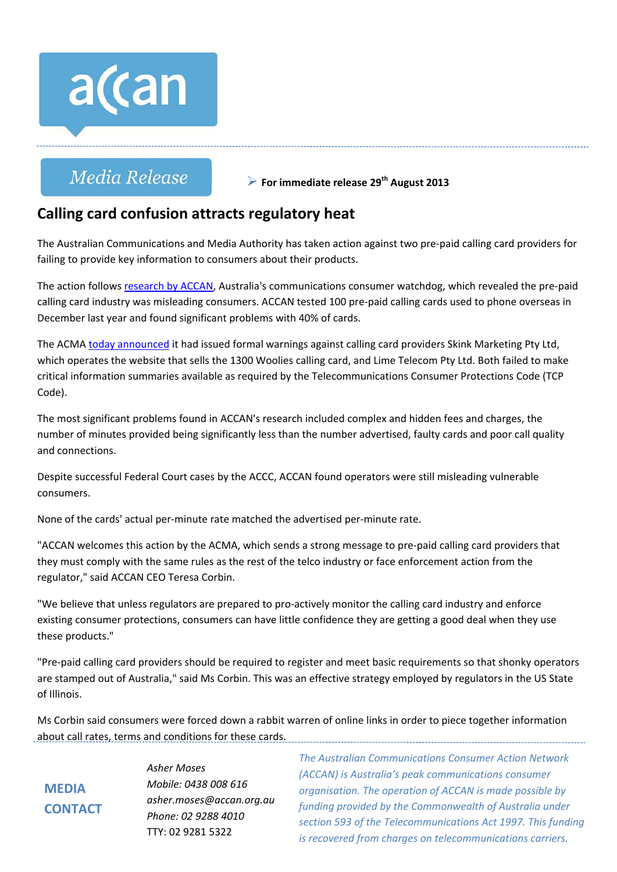

# Media Release

**For immediate release 29th August 2013**

# **Calling card confusion attracts regulatory heat**

The Australian Communications and Media Authority has taken action against two pre‐paid calling card providers for failing to provide key information to consumers about their products.

The action follows research by ACCAN, Australia's communications consumer watchdog, which revealed the pre‐paid calling card industry was misleading consumers. ACCAN tested 100 pre‐paid calling cards used to phone overseas in December last year and found significant problems with 40% of cards.

The ACMA today announced it had issued formal warnings against calling card providers Skink Marketing Pty Ltd, which operates the website that sells the 1300 Woolies calling card, and Lime Telecom Pty Ltd. Both failed to make critical information summaries available as required by the Telecommunications Consumer Protections Code (TCP Code).

The most significant problems found in ACCAN's research included complex and hidden fees and charges, the number of minutes provided being significantly less than the number advertised, faulty cards and poor call quality and connections.

Despite successful Federal Court cases by the ACCC, ACCAN found operators were still misleading vulnerable consumers.

None of the cards' actual per‐minute rate matched the advertised per‐minute rate.

"ACCAN welcomes this action by the ACMA, which sends a strong message to pre‐paid calling card providers that they must comply with the same rules as the rest of the telco industry or face enforcement action from the regulator," said ACCAN CEO Teresa Corbin.

"We believe that unless regulators are prepared to pro‐actively monitor the calling card industry and enforce existing consumer protections, consumers can have little confidence they are getting a good deal when they use these products."

"Pre‐paid calling card providers should be required to register and meet basic requirements so that shonky operators are stamped out of Australia," said Ms Corbin. This was an effective strategy employed by regulators in the US State of Illinois.

Ms Corbin said consumers were forced down a rabbit warren of online links in order to piece together information about call rates, terms and conditions for these cards.

**MEDIA CONTACT** *Asher Moses Mobile: 0438 008 616 asher.moses@accan.org.au Phone: 02 9288 4010* TTY: 02 9281 5322

*The Australian Communications Consumer Action Network (ACCAN) is Australia's peak communications consumer organisation. The operation of ACCAN is made possible by funding provided by the Commonwealth of Australia under section 593 of the Telecommunications Act 1997. This funding is recovered from charges on telecommunications carriers.*